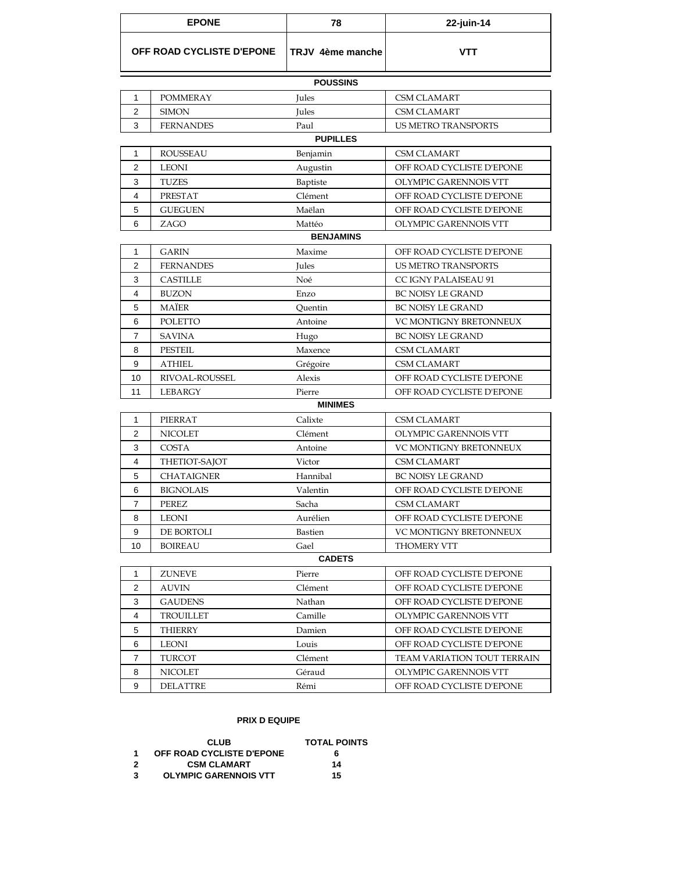| <b>EPONE</b>              |                   | 78               | 22-juin-14                    |  |  |  |
|---------------------------|-------------------|------------------|-------------------------------|--|--|--|
| OFF ROAD CYCLISTE D'EPONE |                   | TRJV 4ème manche | <b>VTT</b>                    |  |  |  |
|                           |                   | <b>POUSSINS</b>  |                               |  |  |  |
| 1                         | <b>POMMERAY</b>   | Jules            | <b>CSM CLAMART</b>            |  |  |  |
| $\overline{c}$            | <b>SIMON</b>      | Jules            | <b>CSM CLAMART</b>            |  |  |  |
| 3                         | <b>FERNANDES</b>  | Paul             | <b>US METRO TRANSPORTS</b>    |  |  |  |
| <b>PUPILLES</b>           |                   |                  |                               |  |  |  |
| 1                         | <b>ROUSSEAU</b>   | Benjamin         | <b>CSM CLAMART</b>            |  |  |  |
| $\overline{2}$            | <b>LEONI</b>      | Augustin         | OFF ROAD CYCLISTE D'EPONE     |  |  |  |
| 3                         | <b>TUZES</b>      | Baptiste         | OLYMPIC GARENNOIS VTT         |  |  |  |
| $\overline{4}$            | <b>PRESTAT</b>    | Clément          | OFF ROAD CYCLISTE D'EPONE     |  |  |  |
| 5                         | <b>GUEGUEN</b>    | Maëlan           | OFF ROAD CYCLISTE D'EPONE     |  |  |  |
| 6                         | ZAGO              | Mattéo           | OLYMPIC GARENNOIS VTT         |  |  |  |
|                           |                   | <b>BENJAMINS</b> |                               |  |  |  |
| $\mathbf{1}$              | <b>GARIN</b>      | Maxime           | OFF ROAD CYCLISTE D'EPONE     |  |  |  |
| $\overline{2}$            | <b>FERNANDES</b>  | Jules            | <b>US METRO TRANSPORTS</b>    |  |  |  |
| 3                         | <b>CASTILLE</b>   | Noé              | CC IGNY PALAISEAU 91          |  |  |  |
| 4                         | <b>BUZON</b>      | Enzo             | <b>BC NOISY LE GRAND</b>      |  |  |  |
| 5                         | <b>MAÏER</b>      | Quentin          | <b>BC NOISY LE GRAND</b>      |  |  |  |
| 6                         | <b>POLETTO</b>    | Antoine          | VC MONTIGNY BRETONNEUX        |  |  |  |
| $\overline{7}$            | <b>SAVINA</b>     | Hugo             | <b>BC NOISY LE GRAND</b>      |  |  |  |
| 8                         | $\tt PESTEIL$     | Maxence          | <b>CSM CLAMART</b>            |  |  |  |
| 9                         | <b>ATHIEL</b>     | Grégoire         | <b>CSM CLAMART</b>            |  |  |  |
| 10                        | RIVOAL-ROUSSEL    | Alexis           | OFF ROAD CYCLISTE D'EPONE     |  |  |  |
| 11                        | <b>LEBARGY</b>    | Pierre           | OFF ROAD CYCLISTE D'EPONE     |  |  |  |
|                           |                   | <b>MINIMES</b>   |                               |  |  |  |
| 1                         | <b>PIERRAT</b>    | Calixte          | <b>CSM CLAMART</b>            |  |  |  |
| $\overline{c}$            | <b>NICOLET</b>    | Clément          | OLYMPIC GARENNOIS VTT         |  |  |  |
| 3                         | COSTA             | Antoine          | VC MONTIGNY BRETONNEUX        |  |  |  |
| 4                         | THETIOT-SAJOT     | Victor           | <b>CSM CLAMART</b>            |  |  |  |
| 5                         | <b>CHATAIGNER</b> | Hannibal         | <b>BC NOISY LE GRAND</b>      |  |  |  |
| 6                         | <b>BIGNOLAIS</b>  | Valentin         | OFF ROAD CYCLISTE D'EPONE     |  |  |  |
| $\overline{7}$            | PEREZ             | Sacha            | <b>CSM CLAMART</b>            |  |  |  |
| 8                         | <b>LEONI</b>      | Aurélien         | OFF ROAD CYCLISTE D'EPONE     |  |  |  |
| 9                         | DE BORTOLI        | <b>Bastien</b>   | <b>VC MONTIGNY BRETONNEUX</b> |  |  |  |
| 10                        | <b>BOIREAU</b>    | Gael             | <b>THOMERY VTT</b>            |  |  |  |
| <b>CADETS</b>             |                   |                  |                               |  |  |  |
| $\mathbf{1}$              | <b>ZUNEVE</b>     | Pierre           | OFF ROAD CYCLISTE D'EPONE     |  |  |  |
| $\overline{2}$            | <b>AUVIN</b>      | Clément          | OFF ROAD CYCLISTE D'EPONE     |  |  |  |
| 3                         | <b>GAUDENS</b>    | Nathan           | OFF ROAD CYCLISTE D'EPONE     |  |  |  |
| 4                         | <b>TROUILLET</b>  | Camille          | OLYMPIC GARENNOIS VTT         |  |  |  |
| 5                         | <b>THIERRY</b>    | Damien           | OFF ROAD CYCLISTE D'EPONE     |  |  |  |
| 6                         | <b>LEONI</b>      | Louis            | OFF ROAD CYCLISTE D'EPONE     |  |  |  |
| $\overline{7}$            | TURCOT            | Clément          | TEAM VARIATION TOUT TERRAIN   |  |  |  |
| 8                         | <b>NICOLET</b>    | Géraud           | OLYMPIC GARENNOIS VTT         |  |  |  |
| 9                         | <b>DELATTRE</b>   | Rémi             | OFF ROAD CYCLISTE D'EPONE     |  |  |  |

## **PRIX D EQUIPE**

|    | <b>CLUB</b>                  | <b>TOTAL POINTS</b> |
|----|------------------------------|---------------------|
| -1 | OFF ROAD CYCLISTE D'EPONE    | 6                   |
|    | <b>CSM CLAMART</b>           | 14                  |
| 3  | <b>OLYMPIC GARENNOIS VTT</b> | 15                  |